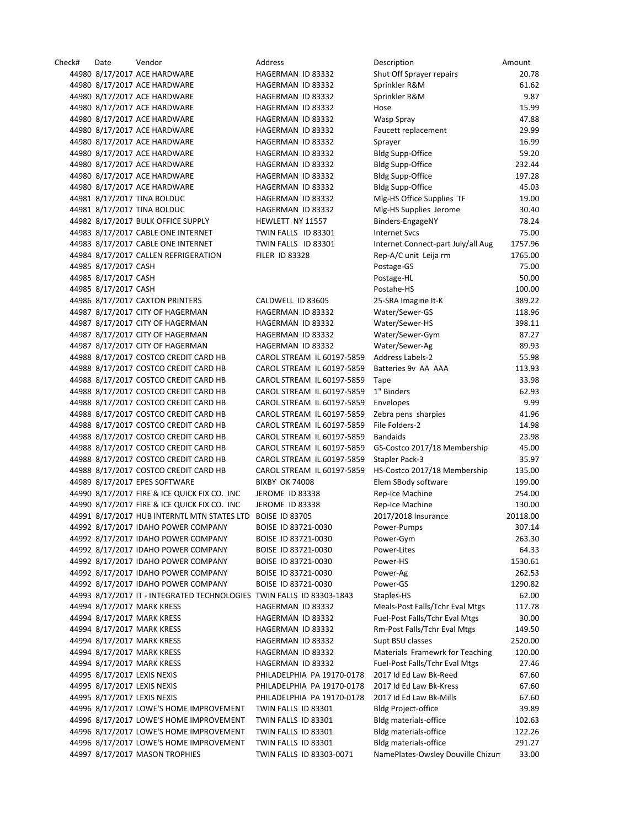Check# Date Vendor Address Description Amount Amount 44980 8/17/2017 ACE HARDWARE HAGERMAN ID 83332 Shut Off Sprayer repairs 20.78 44980 8/17/2017 ACE HARDWARE HAGERMAN ID 83332 Sprinkler R&M 61.62 44980 8/17/2017 ACE HARDWARE HAGERMAN ID 83332 Sprinkler R&M 9.87 44980 8/17/2017 ACE HARDWARE 
HAGERMAN ID 83332

Hose CHASE THARDWARE THE HAGERMAN ID 83332 44980 8/17/2017 ACE HARDWARE HAGERMAN ID 83332 Wasp Spray 47.88 44980 8/17/2017 ACE HARDWARE HAGERMAN ID 83332 Faucett replacement 29.99 44980 8/17/2017 ACE HARDWARE HAGERMAN ID 83332 Sprayer 16.99 44980 8/17/2017 ACE HARDWARE HAGERMAN ID 83332 Bldg Supp‐Office 59.20 44980 8/17/2017 ACE HARDWARE HAGERMAN ID 83332 Bldg Supp‐Office 232.44 44980 8/17/2017 ACE HARDWARE HAGERMAN ID 83332 Bldg Supp-Office 197.28 44980 8/17/2017 ACE HARDWARE HAGERMAN ID 83332 Bldg Supp-Office 45.03 44981 8/17/2017 TINA BOLDUC **HAGERMAN ID 83332** Mlg-HS Office Supplies TF 19.00 44981 8/17/2017 TINA BOLDUC HAGERMAN ID 83332 MIg-HS Supplies Jerome 30.40 44982 8/17/2017 BULK OFFICE SUPPLY HEWLETT NY 11557 Binders-EngageNY 78.24 44983 8/17/2017 CABLE ONE INTERNET TWIN FALLS ID 83301 Internet Svcs 75.00 44983 8/17/2017 CABLE ONE INTERNET TWIN FALLS ID 83301 Internet Connect-part July/all Aug 1757.96 44984 8/17/2017 CALLEN REFRIGERATION FILER ID 83328 Rep-A/C unit Leija rm 1765.00 44985 8/17/2017 CASH Postage‐GS 75.00 44985 8/17/2017 CASH Postage‐HL 50.00 44985 8/17/2017 CASH Postahe‐HS 100.00 44986 8/17/2017 CAXTON PRINTERS CALDWELL ID 83605 25‐SRA Imagine It‐K 389.22 44987 8/17/2017 CITY OF HAGERMAN HAGERMAN ID 83332 Water/Sewer‐GS 118.96 44987 8/17/2017 CITY OF HAGERMAN HAGERMAN ID 83332 Water/Sewer‐HS 398.11 44987 8/17/2017 CITY OF HAGERMAN HAGERMAN ID 83332 Water/Sewer‐Gym 87.27 44987 8/17/2017 CITY OF HAGERMAN HAGERMAN ID 83332 Water/Sewer-Ag 89.93 44988 8/17/2017 COSTCO CREDIT CARD HB CAROL STREAM IL 60197-5859 Address Labels-2 55.98 44988 8/17/2017 COSTCO CREDIT CARD HB CAROL STREAM IL 60197-5859 Batteries 9v AA AAA 113.93 44988 8/17/2017 COSTCO CREDIT CARD HB CAROL STREAM IL 60197-5859 Tape 33.98 44988 8/17/2017 COSTCO CREDIT CARD HB CAROL STREAM IL 60197-5859 1" Binders 62.93 44988 8/17/2017 COSTCO CREDIT CARD HB CAROL STREAM IL 60197-5859 Envelopes 9.99 44988 8/17/2017 COSTCO CREDIT CARD HB CAROL STREAM IL 60197-5859 Zebra pens sharpies 41.96 44988 8/17/2017 COSTCO CREDIT CARD HB CAROL STREAM IL 60197‐5859 File Folders‐2 14.98 44988 8/17/2017 COSTCO CREDIT CARD HB CAROL STREAM IL 60197-5859 Bandaids 23.98 44988 8/17/2017 COSTCO CREDIT CARD HB CAROL STREAM IL 60197‐5859 GS‐Costco 2017/18 Membership 45.00 44988 8/17/2017 COSTCO CREDIT CARD HB CAROL STREAM IL 60197-5859 Stapler Pack-3 35.97 44988 8/17/2017 COSTCO CREDIT CARD HB CAROL STREAM IL 60197‐5859 HS‐Costco 2017/18 Membership 135.00 44989 8/17/2017 EPES SOFTWARE BIXBY OK 74008 Elem SBody software 199.00 44990 8/17/2017 FIRE & ICE QUICK FIX CO. INC JEROME ID 83338 Rep-Ice Machine 254.00 44990 8/17/2017 FIRE & ICE QUICK FIX CO. INC JEROME ID 83338 Rep-Ice Machine 130.00 44991 8/17/2017 HUB INTERNTL MTN STATES LTD BOISE ID 83705 2017/2018 Insurance 20118.00 44992 8/17/2017 IDAHO POWER COMPANY BOISE ID 83721‐0030 Power‐Pumps 307.14 44992 8/17/2017 IDAHO POWER COMPANY BOISE ID 83721‐0030 Power‐Gym 263.30 44992 8/17/2017 IDAHO POWER COMPANY BOISE ID 83721‐0030 Power‐Lites 64.33 44992 8/17/2017 IDAHO POWER COMPANY BOISE ID 83721‐0030 Power‐HS 1530.61 44992 8/17/2017 IDAHO POWER COMPANY BOISE ID 83721‐0030 Power‐Ag 262.53 44992 8/17/2017 IDAHO POWER COMPANY BOISE ID 83721‐0030 Power‐GS 1290.82 44993 8/17/2017 IT ‐ INTEGRATED TECHNOLOGIES TWIN FALLS ID 83303‐1843 Staples‐HS 62.00 44994 8/17/2017 MARK KRESS HAGERMAN ID 83332 Meals-Post Falls/Tchr Eval Mtgs 117.78 44994 8/17/2017 MARK KRESS HAGERMAN ID 83332 Fuel-Post Falls/Tchr Eval Mtgs 30.00 44994 8/17/2017 MARK KRESS HAGERMAN ID 83332 Rm-Post Falls/Tchr Eval Mtgs 149.50 44994 8/17/2017 MARK KRESS HAGERMAN ID 83332 Supt BSU classes 2520.00 44994 8/17/2017 MARK KRESS HAGERMAN ID 83332 Materials Framewrk for Teaching 120.00 44994 8/17/2017 MARK KRESS HAGERMAN ID 83332 Fuel-Post Falls/Tchr Eval Mtgs 27.46 44995 8/17/2017 LEXIS NEXIS PHILADELPHIA PA 19170‐0178 2017 Id Ed Law Bk‐Reed 67.60 44995 8/17/2017 LEXIS NEXIS PHILADELPHIA PA 19170‐0178 2017 Id Ed Law Bk‐Kress 67.60 44995 8/17/2017 LEXIS NEXIS PHILADELPHIA PA 19170‐0178 2017 Id Ed Law Bk‐Mills 67.60 44996 8/17/2017 LOWE'S HOME IMPROVEMENT TWIN FALLS ID 83301 Bldg Project‐office 39.89 44996 8/17/2017 LOWE'S HOME IMPROVEMENT TWIN FALLS ID 83301 Bldg materials-office 102.63 44996 8/17/2017 LOWE'S HOME IMPROVEMENT TWIN FALLS ID 83301 Bldg materials‐office 122.26 44996 8/17/2017 LOWE'S HOME IMPROVEMENT TWIN FALLS ID 83301 Bldg materials‐office 291.27 44997 8/17/2017 MASON TROPHIES TWIN FALLS ID 83303‐0071 NamePlates‐Owsley Douville Chizum 33.00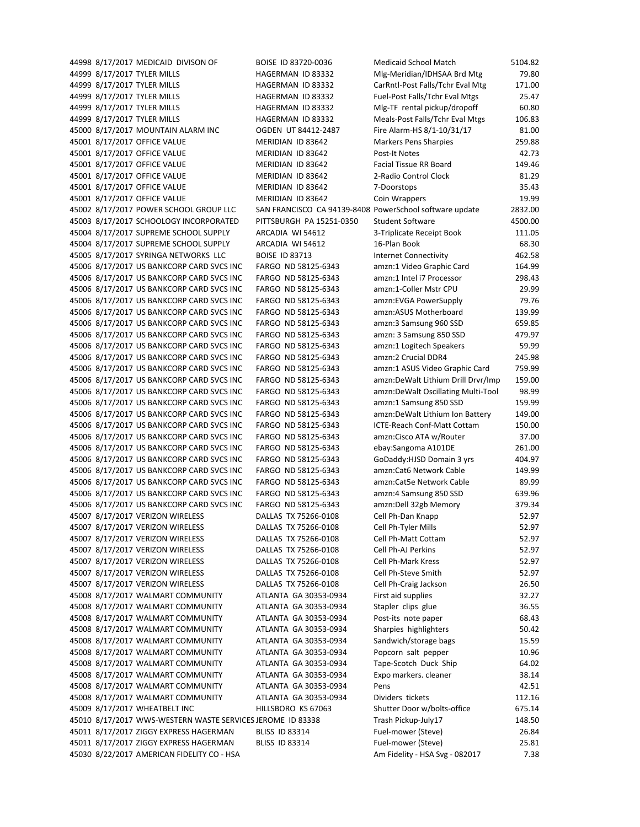44998 8/17/2017 MEDICAID DIVISON OF BOISE ID 83720‐0036 Medicaid School Match 5104.82 44999 8/17/2017 TYLER MILLS **HAGERMAN ID 83332** Mlg-Meridian/IDHSAA Brd Mtg 79.80 44999 8/17/2017 TYLER MILLS **HAGERMAN ID 83332** CarRntl-Post Falls/Tchr Eval Mtg 171.00 44999 8/17/2017 TYLER MILLS **HAGERMAN ID 83332** Fuel-Post Falls/Tchr Eval Mtgs 25.47 44999 8/17/2017 TYLER MILLS **HAGERMAN ID 83332** MIg-TF rental pickup/dropoff 60.80 44999 8/17/2017 TYLER MILLS HAGERMAN ID 83332 Meals‐Post Falls/Tchr Eval Mtgs 106.83 45000 8/17/2017 MOUNTAIN ALARM INC OGDEN UT 84412-2487 Fire Alarm-HS 8/1-10/31/17 81.00 45001 8/17/2017 OFFICE VALUE MERIDIAN ID 83642 Markers Pens Sharpies 259.88 45001 8/17/2017 OFFICE VALUE MERIDIAN ID 83642 Post‐It Notes 42.73 45001 8/17/2017 OFFICE VALUE MERIDIAN ID 83642 Facial Tissue RR Board 149.46 45001 8/17/2017 OFFICE VALUE MERIDIAN ID 83642 2-Radio Control Clock 81.29 45001 8/17/2017 OFFICE VALUE MERIDIAN ID 83642 7-Doorstops 35.43 45001 8/17/2017 OFFICE VALUE THE MERIDIAN ID 83642 Coin Wrappers 19.99 45002 8/17/2017 POWER SCHOOL GROUP LLC SAN FRANCISCO CA 94139‐8408 PowerSchool software update 2832.00 45003 8/17/2017 SCHOOLOGY INCORPORATED PITTSBURGH PA 15251‐0350 Student Software 4500.00 45004 8/17/2017 SUPREME SCHOOL SUPPLY ARCADIA WI 54612 3-Triplicate Receipt Book 111.05 45004 8/17/2017 SUPREME SCHOOL SUPPLY ARCADIA WI 54612 16-Plan Book 68.30 45005 8/17/2017 SYRINGA NETWORKS LLC BOISE ID 83713 Internet Connectivity 462.58 45006 8/17/2017 US BANKCORP CARD SVCS INC FARGO ND 58125-6343 amzn:1 Video Graphic Card 164.99 45006 8/17/2017 US BANKCORP CARD SVCS INC FARGO ND 58125‐6343 amzn:1 Intel i7 Processor 298.43 45006 8/17/2017 US BANKCORP CARD SVCS INC FARGO ND 58125‐6343 amzn:1‐Coller Mstr CPU 29.99 45006 8/17/2017 US BANKCORP CARD SVCS INC FARGO ND 58125‐6343 amzn:EVGA PowerSupply 79.76 45006 8/17/2017 US BANKCORP CARD SVCS INC FARGO ND 58125‐6343 amzn:ASUS Motherboard 139.99 45006 8/17/2017 US BANKCORP CARD SVCS INC FARGO ND 58125-6343 amzn:3 Samsung 960 SSD 659.85 45006 8/17/2017 US BANKCORP CARD SVCS INC FARGO ND 58125-6343 amzn: 3 Samsung 850 SSD 479.97 45006 8/17/2017 US BANKCORP CARD SVCS INC FARGO ND 58125-6343 amzn:1 Logitech Speakers 59.99 45006 8/17/2017 US BANKCORP CARD SVCS INC FARGO ND 58125‐6343 amzn:2 Crucial DDR4 245.98 45006 8/17/2017 US BANKCORP CARD SVCS INC FARGO ND 58125-6343 amzn:1 ASUS Video Graphic Card 759.99 45006 8/17/2017 US BANKCORP CARD SVCS INC FARGO ND 58125‐6343 amzn:DeWalt Lithium Drill Drvr/Imp 159.00 45006 8/17/2017 US BANKCORP CARD SVCS INC FARGO ND 58125‐6343 amzn:DeWalt Oscillating Multi‐Tool 98.99 45006 8/17/2017 US BANKCORP CARD SVCS INC FARGO ND 58125-6343 amzn:1 Samsung 850 SSD 159.99 45006 8/17/2017 US BANKCORP CARD SVCS INC FARGO ND 58125‐6343 amzn:DeWalt Lithium Ion Battery 149.00 45006 8/17/2017 US BANKCORP CARD SVCS INC FARGO ND 58125-6343 ICTE-Reach Conf-Matt Cottam 150.00 45006 8/17/2017 US BANKCORP CARD SVCS INC FARGO ND 58125‐6343 amzn:Cisco ATA w/Router 37.00 45006 8/17/2017 US BANKCORP CARD SVCS INC FARGO ND 58125‐6343 ebay:Sangoma A101DE 261.00 45006 8/17/2017 US BANKCORP CARD SVCS INC FARGO ND 58125‐6343 GoDaddy:HJSD Domain 3 yrs 404.97 45006 8/17/2017 US BANKCORP CARD SVCS INC FARGO ND 58125‐6343 amzn:Cat6 Network Cable 149.99 45006 8/17/2017 US BANKCORP CARD SVCS INC FARGO ND 58125-6343 amzn:Cat5e Network Cable 89.99 45006 8/17/2017 US BANKCORP CARD SVCS INC FARGO ND 58125-6343 amzn:4 Samsung 850 SSD 639.96 45006 8/17/2017 US BANKCORP CARD SVCS INC FARGO ND 58125‐6343 amzn:Dell 32gb Memory 379.34 45007 8/17/2017 VERIZON WIRELESS DALLAS TX 75266-0108 Cell Ph-Dan Knapp 52.97 45007 8/17/2017 VERIZON WIRELESS DALLAS TX 75266-0108 Cell Ph-Tyler Mills 52.97 45007 8/17/2017 VERIZON WIRELESS DALLAS TX 75266-0108 Cell Ph-Matt Cottam 52.97 45007 8/17/2017 VERIZON WIRELESS DALLAS TX 75266-0108 Cell Ph-AJ Perkins 52.97 45007 8/17/2017 VERIZON WIRELESS DALLAS TX 75266-0108 Cell Ph-Mark Kress 52.97 45007 8/17/2017 VERIZON WIRELESS DALLAS TX 75266-0108 Cell Ph-Steve Smith 52.97 45007 8/17/2017 VERIZON WIRELESS DALLAS TX 75266-0108 Cell Ph-Craig Jackson 26.50 45008 8/17/2017 WALMART COMMUNITY ATLANTA GA 30353-0934 First aid supplies 32.27 45008 8/17/2017 WALMART COMMUNITY ATLANTA GA 30353‐0934 Stapler clips glue 36.55 45008 8/17/2017 WALMART COMMUNITY ATLANTA GA 30353-0934 Post-its note paper 68.43 45008 8/17/2017 WALMART COMMUNITY ATLANTA GA 30353‐0934 Sharpies highlighters 50.42 45008 8/17/2017 WALMART COMMUNITY ATLANTA GA 30353‐0934 Sandwich/storage bags 15.59 45008 8/17/2017 WALMART COMMUNITY ATLANTA GA 30353-0934 Popcorn salt pepper 10.96 45008 8/17/2017 WALMART COMMUNITY ATLANTA GA 30353-0934 Tape-Scotch Duck Ship 64.02 45008 8/17/2017 WALMART COMMUNITY ATLANTA GA 30353‐0934 Expo markers. cleaner 38.14 45008 8/17/2017 WALMART COMMUNITY ATLANTA GA 30353‐0934 Pens 42.51 45008 8/17/2017 WALMART COMMUNITY ATLANTA GA 30353‐0934 Dividers tickets 112.16 45009 8/17/2017 WHEATBELT INC HILLSBORO KS 67063 Shutter Door w/bolts-office 675.14 45010 8/17/2017 WWS-WESTERN WASTE SERVICES JEROME ID 83338 Trash Pickup-July17 148.50 45011 8/17/2017 ZIGGY EXPRESS HAGERMAN BLISS ID 83314 Fuel‐mower (Steve) 26.84 45011 8/17/2017 ZIGGY EXPRESS HAGERMAN BLISS ID 83314 Fuel‐mower (Steve) 25.81 45030 8/22/2017 AMERICAN FIDELITY CO ‐ HSA Am Fidelity ‐ HSA Svg ‐ 082017 7.38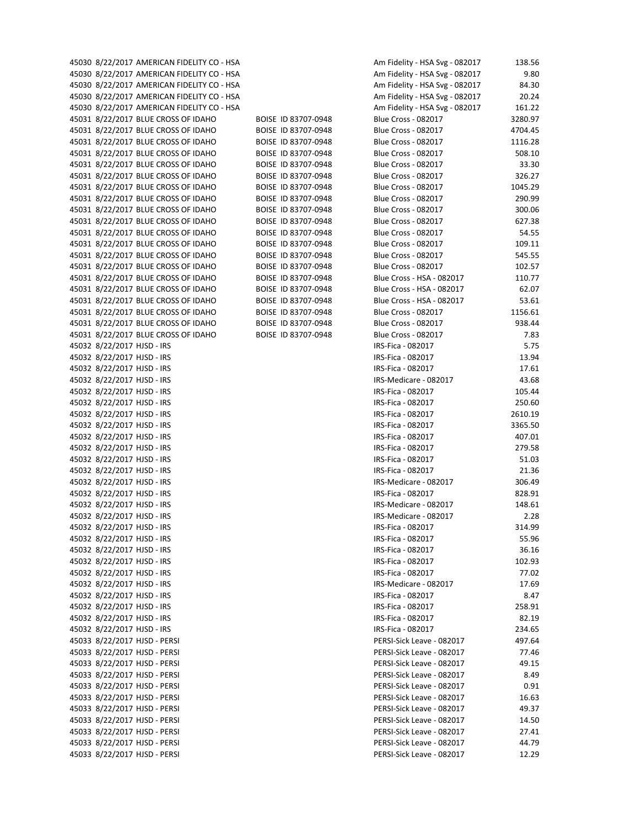45030 8/22/2017 AMERICAN FIDELITY CO - HSA 45030 8/22/2017 AMERICAN FIDELITY CO - HSA 45030 8/22/2017 AMERICAN FIDELITY CO - HSA 45030 8/22/2017 AMERICAN FIDELITY CO - HSA 45030 8/22/2017 AMERICAN FIDELITY CO - HSA 45031 8/22/2017 BLUE CROSS OF IDAHO BOISE ID 83707-0948 45031 8/22/2017 BLUE CROSS OF IDAHO BOISE ID 83707-0948 45031 8/22/2017 BLUE CROSS OF IDAHO BOISE ID 83707-0948 45031 8/22/2017 BLUE CROSS OF IDAHO BOISE ID 83707-0948 45031 8/22/2017 BLUE CROSS OF IDAHO BOISE ID 83707-0948 45031 8/22/2017 BLUE CROSS OF IDAHO BOISE ID 83707-0948 45031 8/22/2017 BLUE CROSS OF IDAHO BOISE ID 83707-0948 45031 8/22/2017 BLUE CROSS OF IDAHO BOISE ID 83707-0948 45031 8/22/2017 BLUE CROSS OF IDAHO BOISE ID 83707-0948 45031 8/22/2017 BLUE CROSS OF IDAHO BOISE ID 83707-0948 45031 8/22/2017 BLUE CROSS OF IDAHO BOISE ID 83707-0948 45031 8/22/2017 BLUE CROSS OF IDAHO BOISE ID 83707-0948 45031 8/22/2017 BLUE CROSS OF IDAHO BOISE ID 83707-0948 45031 8/22/2017 BLUE CROSS OF IDAHO BOISE ID 83707-0948 45031 8/22/2017 BLUE CROSS OF IDAHO BOISE ID 83707-0948 45031 8/22/2017 BLUE CROSS OF IDAHO BOISE ID 83707-0948 45031 8/22/2017 BLUE CROSS OF IDAHO BOISE ID 83707-0948 45031 8/22/2017 BLUE CROSS OF IDAHO BOISE ID 83707-0948 45031 8/22/2017 BLUE CROSS OF IDAHO BOISE ID 83707-0948 45031 8/22/2017 BLUE CROSS OF IDAHO BOISE ID 83707-0948 45032 8/22/2017 HJSD - IRS 45032 8/22/2017 HJSD - IRS 45032 8/22/2017 HJSD - IRS 45032 8/22/2017 HJSD - IRS 45032 8/22/2017 HJSD - IRS 45032 8/22/2017 HJSD - IRS 45032 8/22/2017 HJSD - IRS 45032 8/22/2017 HJSD - IRS 45032 8/22/2017 HJSD - IRS 45032 8/22/2017 HJSD - IRS 45032 8/22/2017 HJSD - IRS 45032 8/22/2017 HJSD - IRS 45032 8/22/2017 HJSD - IRS 45032 8/22/2017 HJSD - IRS 45032 8/22/2017 HJSD - IRS 45032 8/22/2017 HJSD - IRS 45032 8/22/2017 HJSD - IRS 45032 8/22/2017 HJSD - IRS 45032 8/22/2017 HJSD - IRS 45032 8/22/2017 HJSD - IRS 45032 8/22/2017 HJSD - IRS 45032 8/22/2017 HJSD - IRS 45032 8/22/2017 HJSD - IRS 45032 8/22/2017 HJSD - IRS 45032 8/22/2017 HISD - IRS 45032 8/22/2017 HJSD - IRS 45033 8/22/2017 HJSD - PERSI 45033 8/22/2017 HJSD - PERSI 45033 8/22/2017 HJSD - PERSI 45033 8/22/2017 HJSD - PERSI 45033 8/22/2017 HJSD - PERSI 45033 8/22/2017 HJSD - PERSI 45033 8/22/2017 HJSD - PERSI 45033 8/22/2017 HJSD - PERSI 45033 8/22/2017 HJSD - PERSI 45033 8/22/2017 HJSD - PERSI 45033 8/22/2017 HJSD ‐ PERSI PERSI‐Sick Leave ‐ 082017 12.29

| Am Fidelity - HSA Svg - 082017 | 138.56  |
|--------------------------------|---------|
| Am Fidelity - HSA Svg - 082017 | 9.8C    |
| Am Fidelity - HSA Svg - 082017 | 84.30   |
| Am Fidelity - HSA Svg - 082017 | 20.24   |
| Am Fidelity - HSA Svg - 082017 | 161.22  |
| <b>Blue Cross - 082017</b>     | 3280.97 |
| <b>Blue Cross - 082017</b>     | 4704.45 |
| <b>Blue Cross - 082017</b>     | 1116.28 |
|                                |         |
| <b>Blue Cross - 082017</b>     | 508.10  |
| <b>Blue Cross - 082017</b>     | 33.30   |
| <b>Blue Cross - 082017</b>     | 326.27  |
| <b>Blue Cross - 082017</b>     | 1045.29 |
| <b>Blue Cross - 082017</b>     | 290.99  |
| <b>Blue Cross - 082017</b>     | 300.06  |
| <b>Blue Cross - 082017</b>     | 627.38  |
| <b>Blue Cross - 082017</b>     | 54.55   |
| <b>Blue Cross - 082017</b>     | 109.11  |
| <b>Blue Cross - 082017</b>     | 545.55  |
| <b>Blue Cross - 082017</b>     | 102.57  |
| Blue Cross - HSA - 082017      | 110.77  |
| Blue Cross - HSA - 082017      | 62.07   |
|                                |         |
| Blue Cross - HSA - 082017      | 53.61   |
| <b>Blue Cross - 082017</b>     | 1156.61 |
| Blue Cross - 082017            | 938.44  |
| <b>Blue Cross - 082017</b>     | 7.83    |
| IRS-Fica - 082017              | 5.75    |
| IRS-Fica - 082017              | 13.94   |
| IRS-Fica - 082017              | 17.61   |
| IRS-Medicare - 082017          | 43.68   |
| IRS-Fica - 082017              | 105.44  |
| IRS-Fica - 082017              | 250.60  |
| IRS-Fica - 082017              | 2610.19 |
| IRS-Fica - 082017              | 3365.50 |
| IRS-Fica - 082017              | 407.01  |
| IRS-Fica - 082017              | 279.58  |
| IRS-Fica - 082017              | 51.03   |
| IRS-Fica - 082017              | 21.36   |
|                                |         |
| IRS-Medicare - 082017          | 306.49  |
| IRS-Fica - 082017              | 828.91  |
| IRS-Medicare - 082017          | 148.61  |
| IRS-Medicare - 082017          | 2.28    |
| IRS-Fica - 082017              | 314.99  |
| IRS-Fica - 082017              | 55.96   |
| IRS-Fica - 082017              | 36.16   |
| IRS-Fica - 082017              | 102.93  |
| IRS-Fica - 082017              | 77.02   |
| IRS-Medicare - 082017          | 17.69   |
| IRS-Fica - 082017              | 8.47    |
| IRS-Fica - 082017              | 258.91  |
| IRS-Fica - 082017              | 82.19   |
| IRS-Fica - 082017              | 234.65  |
|                                |         |
| PERSI-Sick Leave - 082017      | 497.64  |
| PERSI-Sick Leave - 082017      | 77.46   |
| PERSI-Sick Leave - 082017      | 49.15   |
| PERSI-Sick Leave - 082017      | 8.49    |
| PERSI-Sick Leave - 082017      | 0.91    |
| PERSI-Sick Leave - 082017      | 16.63   |
| PERSI-Sick Leave - 082017      | 49.37   |
| PERSI-Sick Leave - 082017      | 14.50   |
| PERSI-Sick Leave - 082017      | 27.41   |
| PERSI-Sick Leave - 082017      | 44.79   |
| PERSI-Sick Leave - 082017      | 12.2c   |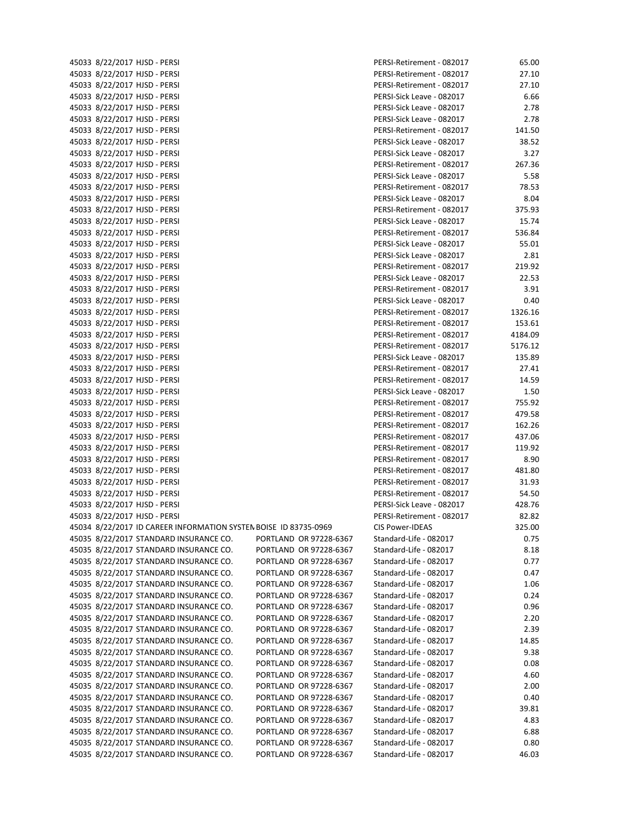| 45033 8/22/2017 HJSD - PERSI                                     |                        | PERSI-Retirement - 082017 | 65.00   |
|------------------------------------------------------------------|------------------------|---------------------------|---------|
| 45033 8/22/2017 HJSD - PERSI                                     |                        | PERSI-Retirement - 082017 | 27.10   |
| 45033 8/22/2017 HJSD - PERSI                                     |                        | PERSI-Retirement - 082017 | 27.10   |
| 45033 8/22/2017 HJSD - PERSI                                     |                        | PERSI-Sick Leave - 082017 | 6.66    |
| 45033 8/22/2017 HJSD - PERSI                                     |                        | PERSI-Sick Leave - 082017 | 2.78    |
| 45033 8/22/2017 HJSD - PERSI                                     |                        | PERSI-Sick Leave - 082017 | 2.78    |
| 45033 8/22/2017 HJSD - PERSI                                     |                        | PERSI-Retirement - 082017 | 141.50  |
| 45033 8/22/2017 HJSD - PERSI                                     |                        | PERSI-Sick Leave - 082017 | 38.52   |
| 45033 8/22/2017 HJSD - PERSI                                     |                        | PERSI-Sick Leave - 082017 | 3.27    |
| 45033 8/22/2017 HJSD - PERSI                                     |                        | PERSI-Retirement - 082017 | 267.36  |
| 45033 8/22/2017 HJSD - PERSI                                     |                        | PERSI-Sick Leave - 082017 | 5.58    |
| 45033 8/22/2017 HJSD - PERSI                                     |                        | PERSI-Retirement - 082017 | 78.53   |
| 45033 8/22/2017 HJSD - PERSI                                     |                        | PERSI-Sick Leave - 082017 | 8.04    |
| 45033 8/22/2017 HJSD - PERSI                                     |                        | PERSI-Retirement - 082017 | 375.93  |
| 45033 8/22/2017 HJSD - PERSI                                     |                        | PERSI-Sick Leave - 082017 | 15.74   |
| 45033 8/22/2017 HJSD - PERSI                                     |                        | PERSI-Retirement - 082017 | 536.84  |
| 45033 8/22/2017 HJSD - PERSI                                     |                        | PERSI-Sick Leave - 082017 | 55.01   |
| 45033 8/22/2017 HJSD - PERSI                                     |                        | PERSI-Sick Leave - 082017 | 2.81    |
| 45033 8/22/2017 HJSD - PERSI                                     |                        | PERSI-Retirement - 082017 | 219.92  |
| 45033 8/22/2017 HJSD - PERSI                                     |                        | PERSI-Sick Leave - 082017 | 22.53   |
| 45033 8/22/2017 HJSD - PERSI                                     |                        | PERSI-Retirement - 082017 | 3.91    |
|                                                                  |                        |                           |         |
| 45033 8/22/2017 HJSD - PERSI                                     |                        | PERSI-Sick Leave - 082017 | 0.40    |
| 45033 8/22/2017 HJSD - PERSI                                     |                        | PERSI-Retirement - 082017 | 1326.16 |
| 45033 8/22/2017 HJSD - PERSI                                     |                        | PERSI-Retirement - 082017 | 153.61  |
| 45033 8/22/2017 HJSD - PERSI                                     |                        | PERSI-Retirement - 082017 | 4184.09 |
| 45033 8/22/2017 HJSD - PERSI                                     |                        | PERSI-Retirement - 082017 | 5176.12 |
| 45033 8/22/2017 HJSD - PERSI                                     |                        | PERSI-Sick Leave - 082017 | 135.89  |
| 45033 8/22/2017 HJSD - PERSI                                     |                        | PERSI-Retirement - 082017 | 27.41   |
| 45033 8/22/2017 HJSD - PERSI                                     |                        | PERSI-Retirement - 082017 | 14.59   |
| 45033 8/22/2017 HJSD - PERSI                                     |                        | PERSI-Sick Leave - 082017 | 1.50    |
| 45033 8/22/2017 HJSD - PERSI                                     |                        | PERSI-Retirement - 082017 | 755.92  |
| 45033 8/22/2017 HJSD - PERSI                                     |                        | PERSI-Retirement - 082017 | 479.58  |
| 45033 8/22/2017 HJSD - PERSI                                     |                        | PERSI-Retirement - 082017 | 162.26  |
| 45033 8/22/2017 HJSD - PERSI                                     |                        | PERSI-Retirement - 082017 | 437.06  |
| 45033 8/22/2017 HJSD - PERSI                                     |                        | PERSI-Retirement - 082017 | 119.92  |
| 45033 8/22/2017 HJSD - PERSI                                     |                        | PERSI-Retirement - 082017 | 8.90    |
| 45033 8/22/2017 HJSD - PERSI                                     |                        | PERSI-Retirement - 082017 | 481.80  |
| 45033 8/22/2017 HJSD - PERSI                                     |                        | PERSI-Retirement - 082017 | 31.93   |
| 45033 8/22/2017 HJSD - PERSI                                     |                        | PERSI-Retirement - 082017 | 54.50   |
| 45033 8/22/2017 HJSD - PERSI                                     |                        | PERSI-Sick Leave - 082017 | 428.76  |
| 45033 8/22/2017 HJSD - PERSI                                     |                        | PERSI-Retirement - 082017 | 82.82   |
| 45034 8/22/2017 ID CAREER INFORMATION SYSTEN BOISE ID 83735-0969 |                        | CIS Power-IDEAS           | 325.00  |
| 45035 8/22/2017 STANDARD INSURANCE CO.                           | PORTLAND OR 97228-6367 | Standard-Life - 082017    | 0.75    |
| 45035 8/22/2017 STANDARD INSURANCE CO.                           | PORTLAND OR 97228-6367 | Standard-Life - 082017    | 8.18    |
| 45035 8/22/2017 STANDARD INSURANCE CO.                           | PORTLAND OR 97228-6367 | Standard-Life - 082017    | 0.77    |
| 45035 8/22/2017 STANDARD INSURANCE CO.                           | PORTLAND OR 97228-6367 | Standard-Life - 082017    | 0.47    |
| 45035 8/22/2017 STANDARD INSURANCE CO.                           | PORTLAND OR 97228-6367 | Standard-Life - 082017    | 1.06    |
| 45035 8/22/2017 STANDARD INSURANCE CO.                           | PORTLAND OR 97228-6367 | Standard-Life - 082017    | 0.24    |
| 45035 8/22/2017 STANDARD INSURANCE CO.                           | PORTLAND OR 97228-6367 | Standard-Life - 082017    | 0.96    |
| 45035 8/22/2017 STANDARD INSURANCE CO.                           | PORTLAND OR 97228-6367 | Standard-Life - 082017    | 2.20    |
| 45035 8/22/2017 STANDARD INSURANCE CO.                           | PORTLAND OR 97228-6367 | Standard-Life - 082017    | 2.39    |
| 45035 8/22/2017 STANDARD INSURANCE CO.                           | PORTLAND OR 97228-6367 | Standard-Life - 082017    | 14.85   |
| 45035 8/22/2017 STANDARD INSURANCE CO.                           | PORTLAND OR 97228-6367 | Standard-Life - 082017    | 9.38    |
| 45035 8/22/2017 STANDARD INSURANCE CO.                           | PORTLAND OR 97228-6367 | Standard-Life - 082017    | 0.08    |
| 45035 8/22/2017 STANDARD INSURANCE CO.                           | PORTLAND OR 97228-6367 | Standard-Life - 082017    | 4.60    |
| 45035 8/22/2017 STANDARD INSURANCE CO.                           | PORTLAND OR 97228-6367 | Standard-Life - 082017    |         |
|                                                                  |                        |                           | 2.00    |
| 45035 8/22/2017 STANDARD INSURANCE CO.                           | PORTLAND OR 97228-6367 | Standard-Life - 082017    | 0.40    |
| 45035 8/22/2017 STANDARD INSURANCE CO.                           | PORTLAND OR 97228-6367 | Standard-Life - 082017    | 39.81   |
| 45035 8/22/2017 STANDARD INSURANCE CO.                           | PORTLAND OR 97228-6367 | Standard-Life - 082017    | 4.83    |
| 45035 8/22/2017 STANDARD INSURANCE CO.                           | PORTLAND OR 97228-6367 | Standard-Life - 082017    | 6.88    |
| 45035 8/22/2017 STANDARD INSURANCE CO.                           | PORTLAND OR 97228-6367 | Standard-Life - 082017    | 0.80    |
| 45035 8/22/2017 STANDARD INSURANCE CO.                           | PORTLAND OR 97228-6367 | Standard-Life - 082017    | 46.03   |